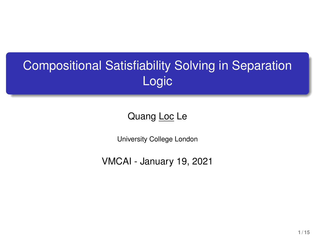# Compositional Satisfiability Solving in Separation Logic

### Quang Loc Le

University College London

VMCAI - January 19, 2021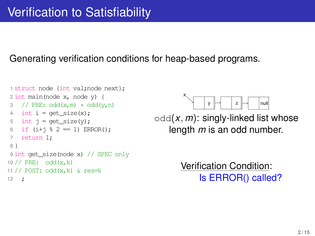#### Generating verification conditions for heap-based programs.

```
1 struct node {int val;node next};
2 int main(node x, node y) {
3 // PRE: odd(x,m) \neq odd(y,n)4 int i = \text{get size}(x):
5 int j = get\_size(y);
6 if (i+1 \; 8 \; 2 == 1) ERROR();
7 return 1;
8 }
9 int get_size(node x) // SPEC only
10 // PRE: odd(x, k)11 // POST: odd(x,k) & res=k
12 ;
```


odd(*x*, *m*): singly-linked list whose length *m* is an odd number.

> Verification Condition: Is ERROR() called?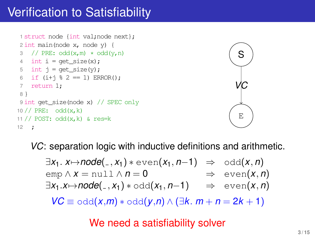### Verification to Satisfiability

```
1 struct node {int val;node next};
 2 int main(node x, node y) {
 3 // PRE: odd(x,m) \star odd(y,n)
 4 int i = get\_size(x);
 5 int j = \text{get size}(y):
 6 if (i+1 \; 8 \; 2 == 1) ERROR():
 7 return 1;
8 }
 9 int get size(node x) // SPEC only
10 // PRE: odd(x, k)11 // POST: odd(x, k) & res=k
12 ;
```


*VC*: separation logic with inductive definitions and arithmetic.

 $\exists x_1$ .  $x \mapsto node(\_, x_1) * even(x_1, n-1) \Rightarrow odd(x, n)$ <br>emp  $\wedge x = null \wedge n = 0 \Rightarrow even(x, n)$  $\Rightarrow$  even(*x*, *n*)  $\exists x_1 \cdot x \mapsto \text{node}(\_, x_1) * \text{odd}(x_1, n-1) \Rightarrow \text{even}(x, n)$ *VC*  $\equiv$  odd(*x*,*m*)  $*$  odd(*y*,*n*) ∧ (∃*k*. *m* + *n* = 2*k* + 1)

We need a satisfiability solver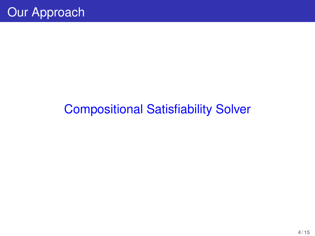# Compositional Satisfiability Solver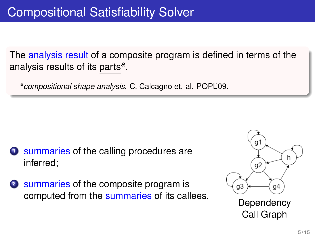The analysis result of a composite program is defined in terms of the analysis results of its parts*<sup>a</sup>* .

*a compositional shape analysis*. C. Calcagno et. al. POPL'09.

- **<sup>1</sup>** summaries of the calling procedures are inferred;
- **<sup>2</sup>** summaries of the composite program is computed from the summaries of its callees.<br>Dependency



Call Graph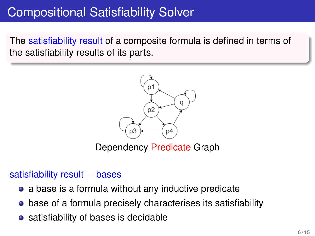### Compositional Satisfiability Solver

The satisfiability result of a composite formula is defined in terms of the satisfiability results of its parts.



Dependency Predicate Graph

#### satisfiability result  $=$  bases

- a base is a formula without any inductive predicate
- **•** base of a formula precisely characterises its satisfiability
- satisfiability of bases is decidable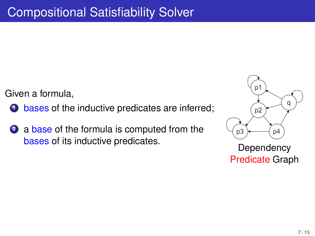Given a formula,

- **1** bases of the inductive predicates are inferred;
- **<sup>2</sup>** a base of the formula is computed from the bases of its inductive predicates.<br>
Dependency



Predicate Graph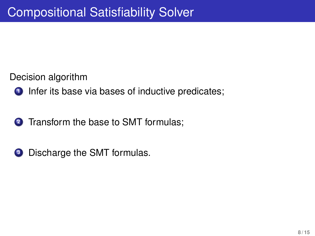Decision algorithm

- **1** Infer its base via bases of inductive predicates;
- **2** Transform the base to SMT formulas:
- **3** Discharge the SMT formulas.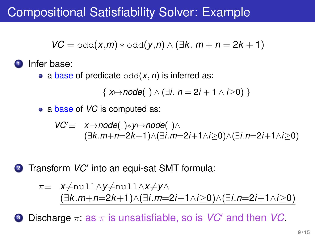### Compositional Satisfiability Solver: Example

$$
VC = \text{odd}(x,m) * \text{odd}(y,n) \land (\exists k.\ m+n=2k+1)
$$

**<sup>1</sup>** Infer base:

• a base of predicate  $\text{odd}(x, n)$  is inferred as:

{  $x \mapsto node(\_) \wedge (\exists i. n = 2i + 1 \wedge i > 0)$  }

• a base of *VC* is computed as:

$$
VC' \equiv x \mapsto node(\_) * y \mapsto node(\_) \wedge \\
 (\exists k.m+n=2k+1) \wedge (\exists i.m=2i+1 \wedge i \geq 0) \wedge (\exists i.n=2i+1 \wedge i \geq 0)
$$

**2** Transform *VC'* into an equi-sat SMT formula:

$$
\pi \equiv x \neq \text{null} \land y \neq \text{null} \land x \neq y \land (\exists k.m+n=2k+1) \land (\exists i.m=2i+1 \land i \geq 0) \land (\exists i.n=2i+1 \land i \geq 0)
$$

**3** Discharge π: as π is unsatisfiable, so is *VC*<sup>*'*</sup> and then *VC*.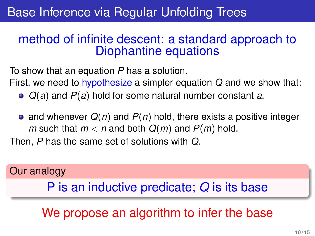### Base Inference via Regular Unfolding Trees

### method of infinite descent: a standard approach to Diophantine equations

To show that an equation *P* has a solution.

First, we need to hypothesize a simpler equation *Q* and we show that:

- *Q*(*a*) and *P*(*a*) hold for some natural number constant *a*,
- and whenever  $Q(n)$  and  $P(n)$  hold, there exists a positive integer *m* such that  $m < n$  and both  $Q(m)$  and  $P(m)$  hold.

Then, *P* has the same set of solutions with *Q*.

### Our analogy

### P is an inductive predicate; *Q* is its base

We propose an algorithm to infer the base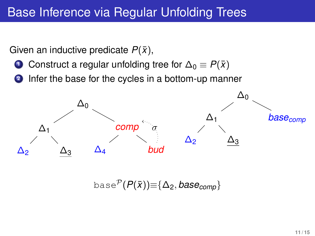### Base Inference via Regular Unfolding Trees

Given an inductive predicate  $P(\bar{x})$ ,

- **1** Construct a regular unfolding tree for  $\Delta_0 \equiv P(\bar{x})$
- **<sup>2</sup>** Infer the base for the cycles in a bottom-up manner



base<sup> $P$ </sup>( $P(\bar{x})$ ) $\equiv$ { $\Delta$ <sub>2</sub>, *base<sub>comp</sub>*}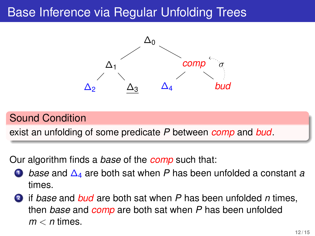### Base Inference via Regular Unfolding Trees



#### Sound Condition

exist an unfolding of some predicate *P* between *comp* and *bud*.

Our algorithm finds a *base* of the *comp* such that:

- **<sup>1</sup>** *base* and ∆<sup>4</sup> are both sat when *P* has been unfolded a constant *a* times.
- **<sup>2</sup>** if *base* and *bud* are both sat when *P* has been unfolded *n* times, then *base* and *comp* are both sat when *P* has been unfolded *m* < *n* times.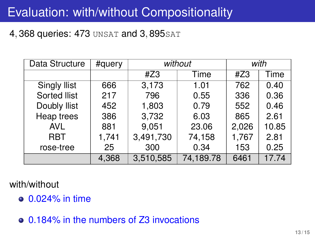## Evaluation: with/without Compositionality

### 4, 368 queries: 473 UNSAT and 3, 895 SAT

| Data Structure      | #query | without   |           | with  |       |
|---------------------|--------|-----------|-----------|-------|-------|
|                     |        | #Z3       | Time      | #Z3   | Time  |
| <b>Singly Ilist</b> | 666    | 3,173     | 1.01      | 762   | 0.40  |
| Sorted Ilist        | 217    | 796       | 0.55      | 336   | 0.36  |
| Doubly Ilist        | 452    | 1,803     | 0.79      | 552   | 0.46  |
| Heap trees          | 386    | 3,732     | 6.03      | 865   | 2.61  |
| <b>AVL</b>          | 881    | 9,051     | 23.06     | 2,026 | 10.85 |
| <b>RBT</b>          | 1,741  | 3,491,730 | 74,158    | 1,767 | 2.81  |
| rose-tree           | 25     | 300       | 0.34      | 153   | 0.25  |
|                     | 4,368  | 3,510,585 | 74,189.78 | 6461  | 17.74 |

#### with/without

- 0.024% in time
- 0.184% in the numbers of Z3 invocations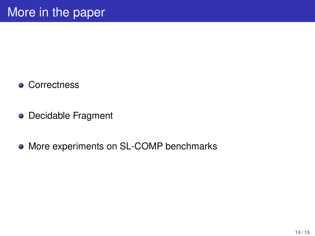- Correctness
- **o** Decidable Fragment
- More experiments on SL-COMP benchmarks